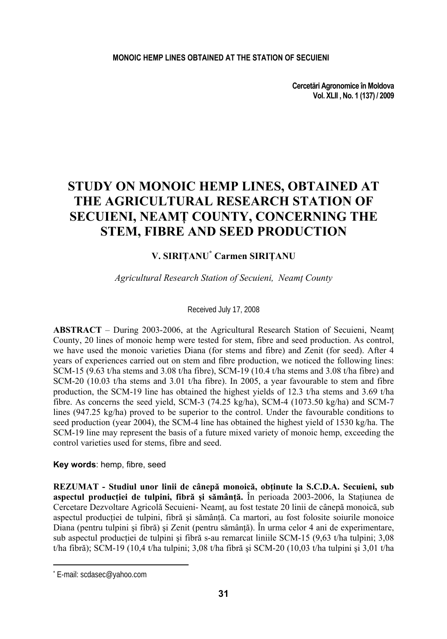**Cercetări Agronomice în Moldova Vol. XLII , No. 1 (137) / 2009** 

# **STUDY ON MONOIC HEMP LINES, OBTAINED AT THE AGRICULTURAL RESEARCH STATION OF SECUIENI, NEAMŢ COUNTY, CONCERNING THE STEM, FIBRE AND SEED PRODUCTION**

## **V. SIRIŢANU\* Carmen SIRIŢANU**

## *Agricultural Research Station of Secuieni, Neamţ County*

### Received July 17, 2008

**ABSTRACT** – During 2003-2006, at the Agricultural Research Station of Secuieni, Neamţ County, 20 lines of monoic hemp were tested for stem, fibre and seed production. As control, we have used the monoic varieties Diana (for stems and fibre) and Zenit (for seed). After 4 years of experiences carried out on stem and fibre production, we noticed the following lines: SCM-15 (9.63 t/ha stems and 3.08 t/ha fibre), SCM-19 (10.4 t/ha stems and 3.08 t/ha fibre) and SCM-20 (10.03 t/ha stems and 3.01 t/ha fibre). In 2005, a year favourable to stem and fibre production, the SCM-19 line has obtained the highest yields of 12.3 t/ha stems and 3.69 t/ha fibre. As concerns the seed yield, SCM-3 (74.25 kg/ha), SCM-4 (1073.50 kg/ha) and SCM-7 lines (947.25 kg/ha) proved to be superior to the control. Under the favourable conditions to seed production (year 2004), the SCM-4 line has obtained the highest yield of 1530 kg/ha. The SCM-19 line may represent the basis of a future mixed variety of monoic hemp, exceeding the control varieties used for stems, fibre and seed.

## **Key words**: hemp, fibre, seed

**REZUMAT - Studiul unor linii de cânepă monoică, obţinute la S.C.D.A. Secuieni, sub aspectul producţiei de tulpini, fibră şi sămânţă.** În perioada 2003-2006, la Staţiunea de Cercetare Dezvoltare Agricolă Secuieni- Neamţ, au fost testate 20 linii de cânepă monoică, sub aspectul productiei de tulpini, fibră și sămânță. Ca martori, au fost folosite soiurile monoice Diana (pentru tulpini şi fibră) şi Zenit (pentru sămânţă). În urma celor 4 ani de experimentare, sub aspectul producției de tulpini și fibră s-au remarcat liniile SCM-15 (9,63 t/ha tulpini; 3,08 t/ha fibră); SCM-19 (10,4 t/ha tulpini; 3,08 t/ha fibră și SCM-20 (10,03 t/ha tulpini și 3,01 t/ha

 $\overline{\phantom{a}}$ 

<sup>\*</sup> E-mail: scdasec@yahoo.com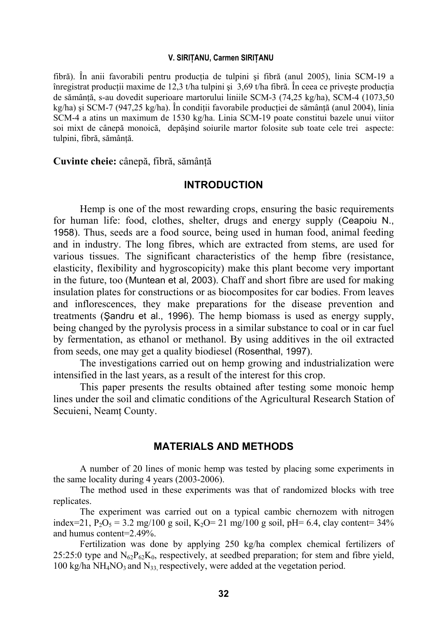### **V. SIRIŢANU, Carmen SIRIŢANU**

fibră). În anii favorabili pentru producţia de tulpini şi fibră (anul 2005), linia SCM-19 a înregistrat producții maxime de 12,3 t/ha tulpini și 3,69 t/ha fibră. În ceea ce priveste producția de sămânță, s-au dovedit superioare martorului liniile SCM-3 (74,25 kg/ha), SCM-4 (1073,50 kg/ha) și SCM-7 (947,25 kg/ha). În conditii favorabile productiei de sământă (anul 2004), linia SCM-4 a atins un maximum de 1530 kg/ha. Linia SCM-19 poate constitui bazele unui viitor soi mixt de cânepă monoică, depăşind soiurile martor folosite sub toate cele trei aspecte: tulpini, fibră, sământă.

**Cuvinte cheie:** cânepă, fibră, sămânţă

## **INTRODUCTION**

Hemp is one of the most rewarding crops, ensuring the basic requirements for human life: food, clothes, shelter, drugs and energy supply (Ceapoiu N., 1958). Thus, seeds are a food source, being used in human food, animal feeding and in industry. The long fibres, which are extracted from stems, are used for various tissues. The significant characteristics of the hemp fibre (resistance, elasticity, flexibility and hygroscopicity) make this plant become very important in the future, too (Muntean et al, 2003). Chaff and short fibre are used for making insulation plates for constructions or as biocomposites for car bodies. From leaves and inflorescences, they make preparations for the disease prevention and treatments (Şandru et al., 1996). The hemp biomass is used as energy supply, being changed by the pyrolysis process in a similar substance to coal or in car fuel by fermentation, as ethanol or methanol. By using additives in the oil extracted from seeds, one may get a quality biodiesel (Rosenthal, 1997).

The investigations carried out on hemp growing and industrialization were intensified in the last years, as a result of the interest for this crop.

This paper presents the results obtained after testing some monoic hemp lines under the soil and climatic conditions of the Agricultural Research Station of Secuieni, Neamt County.

## **MATERIALS AND METHODS**

A number of 20 lines of monic hemp was tested by placing some experiments in the same locality during 4 years (2003-2006).

The method used in these experiments was that of randomized blocks with tree replicates.

The experiment was carried out on a typical cambic chernozem with nitrogen index=21, P<sub>2</sub>O<sub>5</sub> = 3.2 mg/100 g soil, K<sub>2</sub>O= 21 mg/100 g soil, pH= 6.4, clay content= 34% and humus content=2.49%.

Fertilization was done by applying 250 kg/ha complex chemical fertilizers of 25:25:0 type and  $N_{62}P_{62}K_0$ , respectively, at seedbed preparation; for stem and fibre yield, 100 kg/ha NH<sub>4</sub>NO<sub>3</sub> and N<sub>33</sub> respectively, were added at the vegetation period.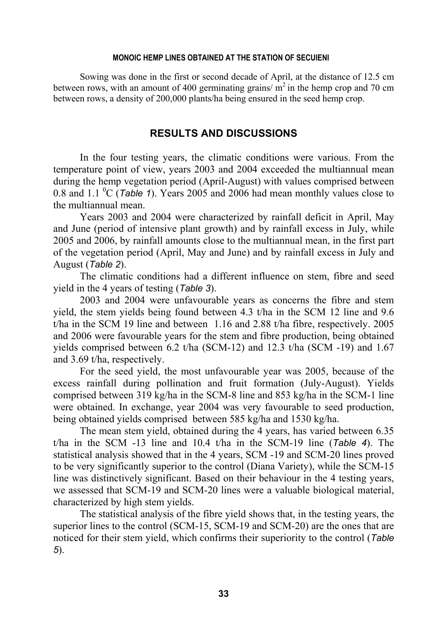#### **MONOIC HEMP LINES OBTAINED AT THE STATION OF SECUIENI**

Sowing was done in the first or second decade of April, at the distance of 12.5 cm between rows, with an amount of 400 germinating grains/ $m<sup>2</sup>$  in the hemp crop and 70 cm between rows, a density of 200,000 plants/ha being ensured in the seed hemp crop.

## **RESULTS AND DISCUSSIONS**

In the four testing years, the climatic conditions were various. From the temperature point of view, years 2003 and 2004 exceeded the multiannual mean during the hemp vegetation period (April-August) with values comprised between 0.8 and 1.1  ${}^{0}C$  (*Table 1*). Years 2005 and 2006 had mean monthly values close to the multiannual mean.

Years 2003 and 2004 were characterized by rainfall deficit in April, May and June (period of intensive plant growth) and by rainfall excess in July, while 2005 and 2006, by rainfall amounts close to the multiannual mean, in the first part of the vegetation period (April, May and June) and by rainfall excess in July and August (*Table 2*).

The climatic conditions had a different influence on stem, fibre and seed yield in the 4 years of testing (*Table 3*).

2003 and 2004 were unfavourable years as concerns the fibre and stem yield, the stem yields being found between 4.3 t/ha in the SCM 12 line and 9.6 t/ha in the SCM 19 line and between 1.16 and 2.88 t/ha fibre, respectively. 2005 and 2006 were favourable years for the stem and fibre production, being obtained yields comprised between 6.2 t/ha (SCM-12) and 12.3 t/ha (SCM -19) and 1.67 and 3.69 t/ha, respectively.

For the seed yield, the most unfavourable year was 2005, because of the excess rainfall during pollination and fruit formation (July-August). Yields comprised between 319 kg/ha in the SCM-8 line and 853 kg/ha in the SCM-1 line were obtained. In exchange, year 2004 was very favourable to seed production, being obtained yields comprised between 585 kg/ha and 1530 kg/ha.

The mean stem yield, obtained during the 4 years, has varied between 6.35 t/ha in the SCM -13 line and 10.4 t/ha in the SCM-19 line (*Table 4*). The statistical analysis showed that in the 4 years, SCM -19 and SCM-20 lines proved to be very significantly superior to the control (Diana Variety), while the SCM-15 line was distinctively significant. Based on their behaviour in the 4 testing years, we assessed that SCM-19 and SCM-20 lines were a valuable biological material, characterized by high stem yields.

The statistical analysis of the fibre yield shows that, in the testing years, the superior lines to the control (SCM-15, SCM-19 and SCM-20) are the ones that are noticed for their stem yield, which confirms their superiority to the control (*Table 5*).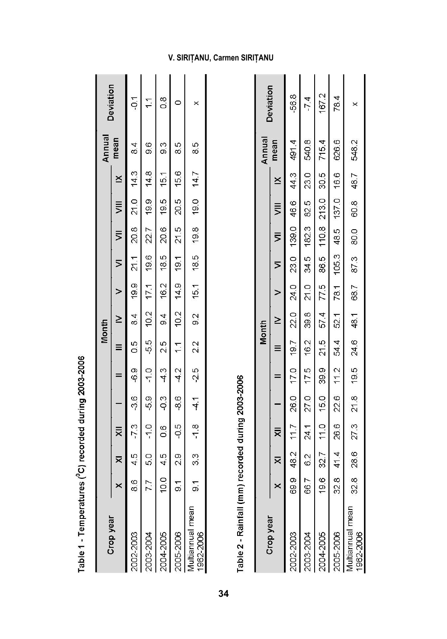|                                                       |                         |                                                               |      |                |                | Month                       |                     |                |          |                |      | Annual        | Deviation |
|-------------------------------------------------------|-------------------------|---------------------------------------------------------------|------|----------------|----------------|-----------------------------|---------------------|----------------|----------|----------------|------|---------------|-----------|
| $\times$<br>Crop year                                 | $\overline{\mathsf{x}}$ | ₹                                                             |      |                | Ξ              | $\geq$                      |                     | $\overline{ }$ | $\equiv$ | $\equiv$       | ×    | mean          |           |
| 8.6<br>1002-2003                                      | 45                      | $-7.3$                                                        | -3.6 | $-6.9$         | $\frac{5}{2}$  | $\frac{4}{8}$               | 19.9 21.1           |                |          | 20.8 21.0 14.3 |      | $\frac{4}{3}$ | $-5$      |
| 7.7<br>003-2004                                       | 5.0                     | $-1.0$                                                        | 5.9  | $-1.0$         |                | $-5.5$ $10.2$ $17.1$ $19.6$ |                     |                |          | 22.7 19.9 14.8 |      | 9.6           |           |
| 004-2005                                              | $10.0$ 4.5              | 0.6                                                           | 0.3  | $-4.3$ 2.5 9.4 |                |                             | 16.2 18.5 20.6 19.5 |                |          |                | 15.1 | 9.3           | 80        |
| $\overline{5}$<br>005-2006                            | <u>୍</u>                | $rac{1}{2}$                                                   | -8.6 | $-4.2$         | $\overline{1}$ |                             | 10.2 14.9 19.1      |                | 21.5     | 20.5 15.6      |      | 8.5           |           |
| $\overline{5}$<br><b>Tultiannual</b> mean<br>962-2006 |                         | 3.3 - 1.8 - 4.1 - 2.5 - 2.2 - 9.2 - 15.5 - 19.8 - 19.0 - 14.7 |      |                |                |                             |                     |                |          |                |      | 8.5           | ×         |

Table 1 - Temperatures (<sup>0</sup>C) recorded during 2003-2006

Table 2 - Rainfall (mm) recorded during 2003-2006

|                                            |          |                     |                                    |    |                | Month  |                          |   |                                                               |      | Annual | Deviation |
|--------------------------------------------|----------|---------------------|------------------------------------|----|----------------|--------|--------------------------|---|---------------------------------------------------------------|------|--------|-----------|
| Crop year                                  | $\times$ | $\overline{\times}$ | $\equiv$                           | l, |                | $\geq$ | $\overline{\phantom{0}}$ | ╞ | $\frac{1}{2}$                                                 | ×    | mean   |           |
| 2002-2003                                  |          |                     | 69.9 48.2 11.7                     |    | 26.0 17.0 19.7 |        | 22.0 24.0                |   | 23.0 139.0 46.6 44.3                                          |      | 491.4  | $-56.8$   |
| 2003-2004                                  |          | 66.7 6.2            | 24.1                               |    |                |        |                          |   | 27.0 17.5 16.2 39.8 21.0 34.5 182.3 82.5                      | 23.0 | 540.8  | $-74$     |
| 2004-2005                                  |          |                     |                                    |    |                |        |                          |   | 19.6 32.7 11.0 15.0 39.9 21.5 57.4 77.5 86.5 110.8 213.0 30.5 |      | 715.4  | 167.2     |
| 2005-2006                                  |          |                     |                                    |    |                |        |                          |   | 32.8 41.4 26.6 22.6 11.2 54.4 52.1 78.1 105.3 48.5 137.0 16.6 |      | 626.6  | 78.4      |
| <b><i>Aultiannual</i></b> mean<br>962-2006 |          |                     | 32.8 28.6 27.3 21.8 19.5 24.6 48.1 |    |                |        |                          |   | 68.7 87.3 80.0 60.8 48.7                                      |      | 548.2  | ×         |

÷.

## **V. SIRIŢANU, Carmen SIRIŢANU**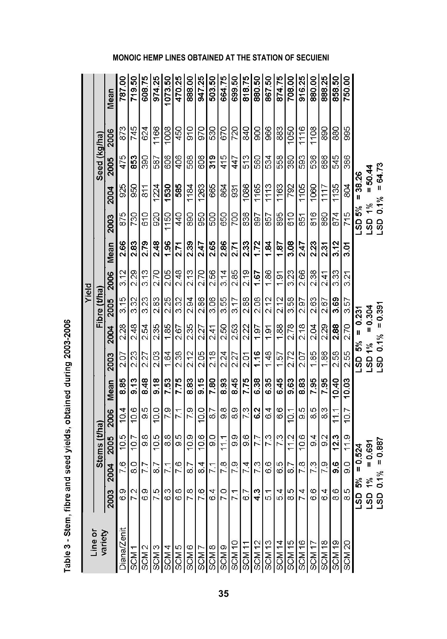|                                     |                 |                 |               |                 |       |        |                   |             | Yield |      |                  |               |              |      |         |
|-------------------------------------|-----------------|-----------------|---------------|-----------------|-------|--------|-------------------|-------------|-------|------|------------------|---------------|--------------|------|---------|
| Line or<br>variety                  |                 |                 | Stems (t/ha)  |                 |       |        |                   | Fibre (t/ha |       |      |                  |               | Seed (kg/ha) |      |         |
|                                     | 2003            | 2004            | 2005          | 2006            | Mean  | 2003   | 2004              | 2005        | 2006  | Mean | 2003             | 2004          | 2005         | 2006 | Mean    |
| <b>Diana/Zenit</b>                  | $\frac{6.9}{ }$ | 76              | 10.5          | 10.4            | 885   | 2.07   | 2.28              | 3.15        | 3.12  | 2.66 | 875              | 925           | 475          | 873  | 787.00  |
| SCM <sub>1</sub>                    |                 | 8               | 10.7          | 10.6            | 9.13  | 223    | 248               | 3.32        | 229   | 2.83 | 730              | 950           | 853          | 745  | 719.50  |
| SCM <sub>2</sub>                    |                 | 7.7             | $\frac{8}{9}$ | 9.5             | 8.48  | 227    | 2.54              | 3.23        | 3.13  | 2.79 | 610              | $\frac{8}{1}$ | 390          | 624  | 608.75  |
| SCM <sub>3</sub>                    |                 | 8.7             | 10.5          | 10.0            | 9.18  | 2.03   | 2.35              | 2.83        | 2.70  | 2.48 | 920              | 1224          | 587          | 1166 | 974.25  |
|                                     |                 | $\overline{71}$ | $\frac{8}{3}$ | 79              | 753   | 1.64   | 1.85              | 2.25        | 2.05  | 1.96 | 1150             | 1530          | 606          | 1008 | 1073.50 |
| SCM 5                               |                 | 7.6             | 95            | $\overline{71}$ | 7.75  | 2.38   | 2.67              | 3.32        | 248   | 2.71 | 440              | 585           | 406          | 450  | 470.25  |
| SCM <sub>6</sub>                    |                 | 8.7             | 10.9          | 7.9             | 8.83  | 2.12   | 2.35              | 2.94        | 213   | 2.39 | 890              | 1184          | 568          | 910  | 888.00  |
| SCM <sub>7</sub>                    |                 | 8.4             | 10.6          | 10.0            | 9.15  | 2.05   | 2.27              | 2.86        | 2.70  | 2.47 | 950              | 1263          | 606          | 970  | 947.25  |
|                                     |                 | 71              | $\circ$       | 87              | 7.80  | 218    | 2.41              | 3.06        | 2.56  | 2.65 | 500              | 665           | 319          | 530  | 503.50  |
|                                     |                 | 7.8             | 11.1          | 98              | 8.93  | 224    | 2.50              | 3.55        | 3.14  | 2.86 | 650              | 864           | 415          | 670  | 664.75  |
| $\frac{\text{SCM 8}}{\text{SCM 9}}$ |                 | 7.9             | 9.9           | 89              | 8.45  | 2.27   | 2.53              | 3.17        | 2.85  | 2.71 | 700              | 931           | 447          | 720  | 699.50  |
| SCM <sub>11</sub>                   |                 | 7.4             | 9.6           | 73              | 7.75  | 2.01   | 2.22              | 2.88        | 2.19  | 2.33 | 836              | 1086          | 513          | 840  | 818.75  |
|                                     |                 | 73              | 7.7           | 62              | 6.38  | 116    | 1.97              | 2.08        | 1.67  | 1.72 | 897              | 1165          | 560          | 900  | 880.50  |
| $\frac{SCM 12}{SCM 13}$             |                 | 6.6             | 73            | 64              | 6.35  | 148    | 1.91              | 2.12        | 1.86  | 1.84 | 857              | 1113          | 534          | 966  | 867.50  |
| $\frac{1}{\sqrt{2}}$                |                 | 6.5             | 7.3           | 6.6             | 6.45  | 157    | 1.88              | 2.12        | 1.91  | 187  | 895              | 1163          | 558          | 883  | 874.75  |
| SCM <sub>15</sub>                   |                 | 8.7             | 11.2          | 10.1            | 9.63  | 2.72   | 2.78              | 3.58        | 3.23  | 3.08 | 610              | 792           | 380          | 1050 | 708.00  |
| SCM <sub>16</sub>                   |                 | 78              | 10.6          | 95              | 883   | 207    | 2.18              | 2.97        | 2.66  | 2.47 | 851              | 1105          | 593          | 1116 | 916.25  |
| SCM <sub>17</sub>                   |                 | 73              | $\frac{4}{9}$ | 85              | 7.95  | 1.85   | 2.04              | 2.63        | 2.38  | 2.23 | 816              | 1060          | 536          | 1108 | 880.00  |
| SCM <sub>18</sub>                   | 6 4             | 7.9             | 9.2           | 83              | 7.95  | 1.86   | 2.29              | 2.67        | 2.41  | 2.31 | 860              | 1117          | 686          | 890  | 888.25  |
| SCM <sub>19</sub>                   | 8.6             | <u>ဖို့</u>     | 12.3          | 111             | 10.40 | 2.58   | 2.88              | 3.69        | 333   | 3.12 | 874              | 1135          | 545          | 880  | 858.50  |
| SCM <sub>20</sub>                   | 8.5             | o<br>6          | 119           | 10.7            | 10.03 | 255    | 2.70              | 3.57        | 3.21  | 3.D1 | 715              | 804           | 386          | 995  | 750.00  |
|                                     | SJ              | 5%              | $= 0.524$     |                 |       | $-5\%$ | $= 0.231$         |             |       |      | LSD 5%           | $= 38.26$     |              |      |         |
|                                     | ទីទី            | $\frac{2}{3}$   | $= 0.69$      |                 |       | LSD 1% |                   | $= 0.304$   |       |      | 1%<br><b>GST</b> |               | $= 50.44$    |      |         |
|                                     |                 | 0.1%            | $= 0.887$     |                 |       |        | $LSD$ 0.1% = 0.39 |             |       |      | LSD 0.1%         |               | $=64.73$     |      |         |

Table 3 - Stem, fibre and seed yields, obtained during 2003-2006

## **MONOIC HEMP LINES OBTAINED AT THE STATION OF SECUIENI**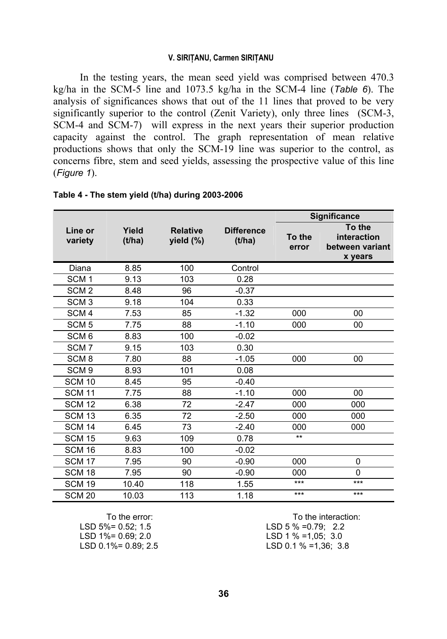### **V. SIRIŢANU, Carmen SIRIŢANU**

In the testing years, the mean seed yield was comprised between 470.3 kg/ha in the SCM-5 line and 1073.5 kg/ha in the SCM-4 line (*Table 6*). The analysis of significances shows that out of the 11 lines that proved to be very significantly superior to the control (Zenit Variety), only three lines (SCM-3, SCM-4 and SCM-7) will express in the next years their superior production capacity against the control. The graph representation of mean relative productions shows that only the SCM-19 line was superior to the control, as concerns fibre, stem and seed yields, assessing the prospective value of this line (*Figure 1*).

|                    |                 |                              |                             |                 | <b>Significance</b>                                 |
|--------------------|-----------------|------------------------------|-----------------------------|-----------------|-----------------------------------------------------|
| Line or<br>variety | Yield<br>(t/ha) | <b>Relative</b><br>yield (%) | <b>Difference</b><br>(t/ha) | To the<br>error | To the<br>interaction<br>between variant<br>x years |
| Diana              | 8.85            | 100                          | Control                     |                 |                                                     |
| SCM <sub>1</sub>   | 9.13            | 103                          | 0.28                        |                 |                                                     |
| SCM <sub>2</sub>   | 8.48            | 96                           | $-0.37$                     |                 |                                                     |
| SCM <sub>3</sub>   | 9.18            | 104                          | 0.33                        |                 |                                                     |
| SCM <sub>4</sub>   | 7.53            | 85                           | $-1.32$                     | 000             | 00                                                  |
| SCM <sub>5</sub>   | 7.75            | 88                           | $-1.10$                     | 000             | 00                                                  |
| SCM <sub>6</sub>   | 8.83            | 100                          | $-0.02$                     |                 |                                                     |
| SCM <sub>7</sub>   | 9.15            | 103                          | 0.30                        |                 |                                                     |
| SCM <sub>8</sub>   | 7.80            | 88                           | $-1.05$                     | 000             | 00                                                  |
| SCM <sub>9</sub>   | 8.93            | 101                          | 0.08                        |                 |                                                     |
| <b>SCM 10</b>      | 8.45            | 95                           | $-0.40$                     |                 |                                                     |
| <b>SCM 11</b>      | 7.75            | 88                           | $-1.10$                     | 000             | 00                                                  |
| <b>SCM 12</b>      | 6.38            | 72                           | $-2.47$                     | 000             | 000                                                 |
| <b>SCM 13</b>      | 6.35            | 72                           | $-2.50$                     | 000             | 000                                                 |
| <b>SCM 14</b>      | 6.45            | 73                           | $-2.40$                     | 000             | 000                                                 |
| <b>SCM 15</b>      | 9.63            | 109                          | 0.78                        | $**$            |                                                     |
| <b>SCM 16</b>      | 8.83            | 100                          | $-0.02$                     |                 |                                                     |
| <b>SCM 17</b>      | 7.95            | 90                           | $-0.90$                     | 000             | $\Omega$                                            |
| <b>SCM 18</b>      | 7.95            | 90                           | $-0.90$                     | 000             | $\Omega$                                            |
| <b>SCM 19</b>      | 10.40           | 118                          | 1.55                        | ***             | ***                                                 |
| <b>SCM 20</b>      | 10.03           | 113                          | 1.18                        | ***             | ***                                                 |

## **Table 4 - The stem yield (t/ha) during 2003-2006**

LSD 1%= 0.69; 2.0 LSD 1 % =1,05; 3.0

To the error: To the interaction: LSD 5%= 0.52; 1.5 LSD 5 % =0.79; 2.2 LSD 0.1%= 0.89; 2.5 LSD 0.1 % =1,36; 3.8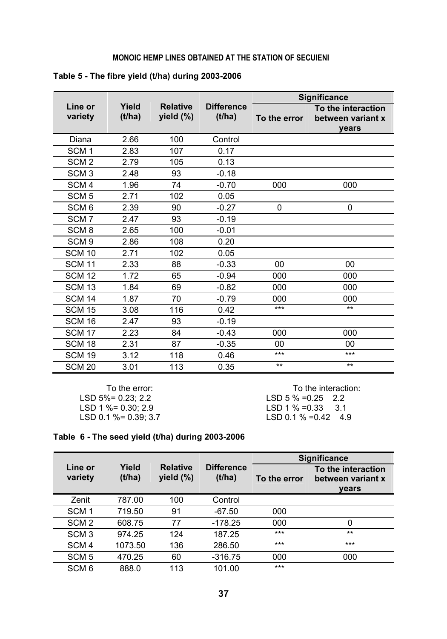## **MONOIC HEMP LINES OBTAINED AT THE STATION OF SECUIENI**

|                    |                 |                              |                             |              | <b>Significance</b>                                     |
|--------------------|-----------------|------------------------------|-----------------------------|--------------|---------------------------------------------------------|
| Line or<br>variety | Yield<br>(t/ha) | <b>Relative</b><br>yield (%) | <b>Difference</b><br>(t/ha) | To the error | To the interaction<br>between variant x<br><b>vears</b> |
| Diana              | 2.66            | 100                          | Control                     |              |                                                         |
| SCM <sub>1</sub>   | 2.83            | 107                          | 0.17                        |              |                                                         |
| SCM <sub>2</sub>   | 2.79            | 105                          | 0.13                        |              |                                                         |
| SCM <sub>3</sub>   | 2.48            | 93                           | $-0.18$                     |              |                                                         |
| SCM <sub>4</sub>   | 1.96            | 74                           | $-0.70$                     | 000          | 000                                                     |
| SCM <sub>5</sub>   | 2.71            | 102                          | 0.05                        |              |                                                         |
| SCM <sub>6</sub>   | 2.39            | 90                           | $-0.27$                     | 0            | 0                                                       |
| SCM <sub>7</sub>   | 2.47            | 93                           | $-0.19$                     |              |                                                         |
| SCM <sub>8</sub>   | 2.65            | 100                          | $-0.01$                     |              |                                                         |
| SCM <sub>9</sub>   | 2.86            | 108                          | 0.20                        |              |                                                         |
| <b>SCM 10</b>      | 2.71            | 102                          | 0.05                        |              |                                                         |
| <b>SCM 11</b>      | 2.33            | 88                           | $-0.33$                     | 00           | 00                                                      |
| <b>SCM 12</b>      | 1.72            | 65                           | $-0.94$                     | 000          | 000                                                     |
| <b>SCM 13</b>      | 1.84            | 69                           | $-0.82$                     | 000          | 000                                                     |
| <b>SCM 14</b>      | 1.87            | 70                           | $-0.79$                     | 000          | 000                                                     |
| <b>SCM 15</b>      | 3.08            | 116                          | 0.42                        | ***          | $***$                                                   |
| <b>SCM 16</b>      | 2.47            | 93                           | $-0.19$                     |              |                                                         |
| <b>SCM 17</b>      | 2.23            | 84                           | $-0.43$                     | 000          | 000                                                     |
| <b>SCM 18</b>      | 2.31            | 87                           | $-0.35$                     | 00           | $00\,$                                                  |
| <b>SCM 19</b>      | 3.12            | 118                          | 0.46                        | ***          | ***                                                     |
| <b>SCM 20</b>      | 3.01            | 113                          | 0.35                        | $**$         | $***$                                                   |

|  |  |  | Table 5 - The fibre yield (t/ha) during 2003-2006 |
|--|--|--|---------------------------------------------------|
|  |  |  |                                                   |

To the error:<br>
LSD 5% = 0.23; 2.2<br>
LSD 5% = 0.25<br>
2.2<br>
LSD 5% = 0.25<br>
2.2 LSD 5% = 0.23; 2.2<br>
LSD 1 % = 0.30; 2.9<br>
LSD 1 % = 0.33<br>
3.1 LSD 1 %= 0.30; 2.9 LSD 1 % =0.33 3.1 LSD 0.1 %= 0.39; 3.7 LSD 0.1 % =0.42 4.9

|  |  |  |  |  |  | Table 6 - The seed yield (t/ha) during 2003-2006 |
|--|--|--|--|--|--|--------------------------------------------------|
|--|--|--|--|--|--|--------------------------------------------------|

|                    |                 |                                 |                             |              | <b>Significance</b>                              |
|--------------------|-----------------|---------------------------------|-----------------------------|--------------|--------------------------------------------------|
| Line or<br>variety | Yield<br>(t/ha) | <b>Relative</b><br>yield $(\%)$ | <b>Difference</b><br>(t/ha) | To the error | To the interaction<br>between variant x<br>vears |
| Zenit              | 787.00          | 100                             | Control                     |              |                                                  |
| SCM <sub>1</sub>   | 719.50          | 91                              | $-67.50$                    | 000          |                                                  |
| SCM <sub>2</sub>   | 608.75          | 77                              | $-178.25$                   | 000          | 0                                                |
| SCM <sub>3</sub>   | 974.25          | 124                             | 187.25                      | ***          | $***$                                            |
| SCM <sub>4</sub>   | 1073.50         | 136                             | 286.50                      | $***$        | $***$                                            |
| SCM <sub>5</sub>   | 470.25          | 60                              | $-316.75$                   | 000          | 000                                              |
| SCM <sub>6</sub>   | 888.0           | 113                             | 101.00                      | $***$        |                                                  |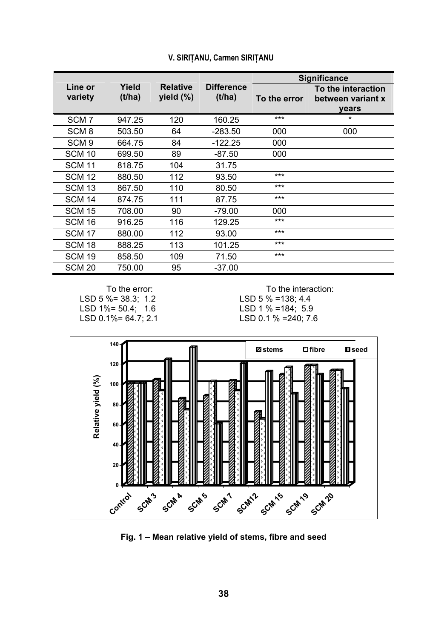|                    |                 |                                 |                             |              | <b>Significance</b>                                     |
|--------------------|-----------------|---------------------------------|-----------------------------|--------------|---------------------------------------------------------|
| Line or<br>variety | Yield<br>(t/ha) | <b>Relative</b><br>yield $(\%)$ | <b>Difference</b><br>(t/ha) | To the error | To the interaction<br>between variant x<br><b>vears</b> |
| SCM <sub>7</sub>   | 947.25          | 120                             | 160.25                      | $***$        | *                                                       |
| SCM <sub>8</sub>   | 503.50          | 64                              | $-283.50$                   | 000          | 000                                                     |
| SCM <sub>9</sub>   | 664.75          | 84                              | $-122.25$                   | 000          |                                                         |
| <b>SCM 10</b>      | 699.50          | 89                              | $-87.50$                    | 000          |                                                         |
| <b>SCM 11</b>      | 818.75          | 104                             | 31.75                       |              |                                                         |
| <b>SCM 12</b>      | 880.50          | 112                             | 93.50                       | $***$        |                                                         |
| SCM 13             | 867.50          | 110                             | 80.50                       | $***$        |                                                         |
| <b>SCM 14</b>      | 874.75          | 111                             | 87.75                       | $***$        |                                                         |
| <b>SCM 15</b>      | 708.00          | 90                              | $-79.00$                    | 000          |                                                         |
| SCM 16             | 916.25          | 116                             | 129.25                      | $***$        |                                                         |
| <b>SCM 17</b>      | 880.00          | 112                             | 93.00                       | $***$        |                                                         |
| SCM 18             | 888.25          | 113                             | 101.25                      | $***$        |                                                         |
| SCM 19             | 858.50          | 109                             | 71.50                       | $***$        |                                                         |
| <b>SCM 20</b>      | 750.00          | 95                              | $-37.00$                    |              |                                                         |

#### **V. SIRIŢANU, Carmen SIRIŢANU**

LSD 5 %= 38.3; 1.2<br>
LSD 1%= 50.4; 1.6<br>
LSD 1% =184; 5.9 LSD  $1\% = 50.4$ ; 1.6<br>LSD  $0.1\% = 64.7$ ; 2.1

To the error: To the interaction:<br>% = 38.3; 1.2 (SD 5 % = 138; 4.4

LSD 0.1 % =240; 7.6



**Fig. 1 – Mean relative yield of stems, fibre and seed**